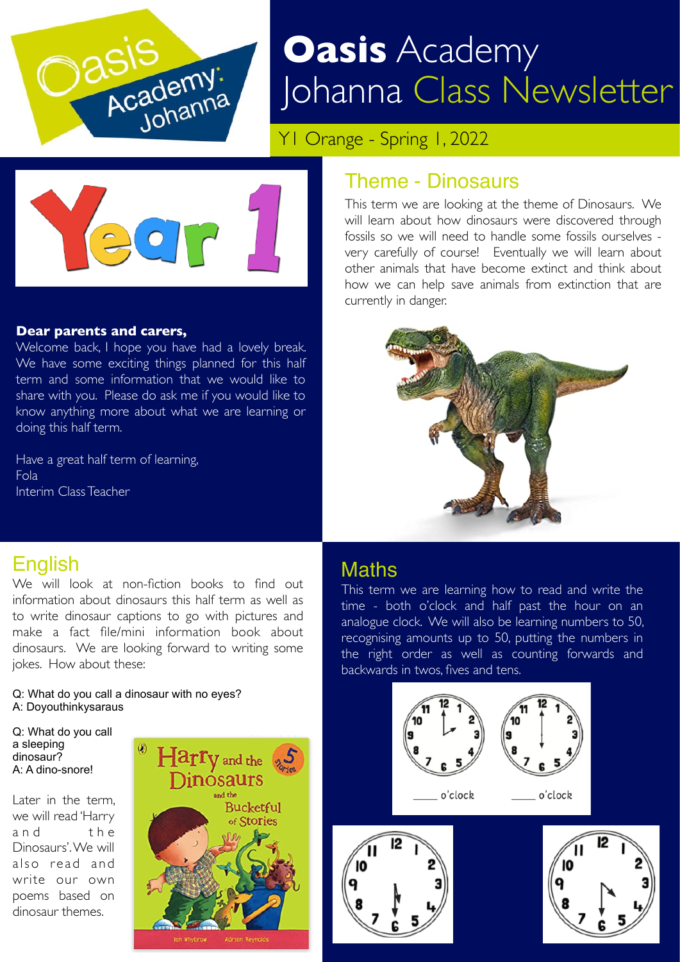

# **Oasis** Academy Johanna Class Newsletter

Y1 Orange - Spring 1, 2022



#### **Dear parents and carers,**

Welcome back, I hope you have had a lovely break. We have some exciting things planned for this half term and some information that we would like to share with you. Please do ask me if you would like to know anything more about what we are learning or doing this half term.

Have a great half term of learning, Fola Interim Class Teacher

### Theme - Dinosaurs

This term we are looking at the theme of Dinosaurs. We will learn about how dinosaurs were discovered through fossils so we will need to handle some fossils ourselves very carefully of course! Eventually we will learn about other animals that have become extinct and think about how we can help save animals from extinction that are currently in danger.



# English

We will look at non-fiction books to find out information about dinosaurs this half term as well as to write dinosaur captions to go with pictures and make a fact file/mini information book about dinosaurs. We are looking forward to writing some jokes. How about these:

#### Q: What do you call a dinosaur with no eyes? A: Doyouthinkysaraus

Q: What do you call a sleeping dinosaur? A: A dino-snore!

Later in the term, we will read 'Harry and the Dinosaurs'. We will also read and write our own poems based on dinosaur themes.



### **Maths**

This term we are learning how to read and write the time - both o'clock and half past the hour on an analogue clock. We will also be learning numbers to 50, recognising amounts up to 50, putting the numbers in the right order as well as counting forwards and backwards in twos, fives and tens.